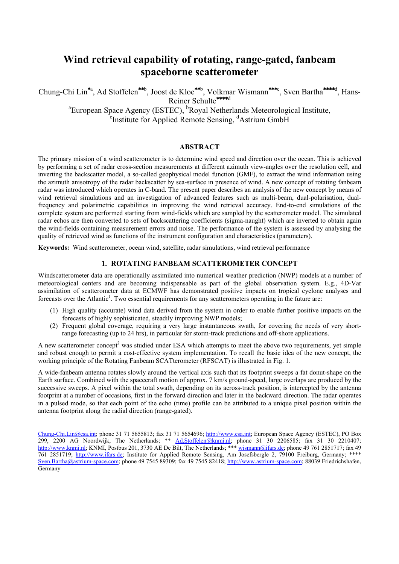# **Wind retrieval capability of rotating, range-gated, fanbeam spaceborne scatterometer**

Chung-Chi Lin<sup>\*a</sup>, Ad Stoffelen<sup>\*\*b</sup>, Joost de Kloe<sup>\*\*b</sup>, Volkmar Wismann<sup>\*\*\*c</sup>, Sven Bartha<sup>\*\*\*\*d</sup>, Hans-Reiner Schulte **\*\*\*\***d <sup>a</sup> European Space Agency (ESTEC), <sup>b</sup>Royal Netherlands Meteorological Institute,

Institute for Applied Remote Sensing, <sup>d</sup>Astrium GmbH

# **ABSTRACT**

The primary mission of a wind scatterometer is to determine wind speed and direction over the ocean. This is achieved by performing a set of radar cross-section measurements at different azimuth view-angles over the resolution cell, and inverting the backscatter model, a so-called geophysical model function (GMF), to extract the wind information using the azimuth anisotropy of the radar backscatter by sea-surface in presence of wind. A new concept of rotating fanbeam radar was introduced which operates in C-band. The present paper describes an analysis of the new concept by means of wind retrieval simulations and an investigation of advanced features such as multi-beam, dual-polarisation, dualfrequency and polarimetric capabilities in improving the wind retrieval accuracy. End-to-end simulations of the complete system are performed starting from wind-fields which are sampled by the scatterometer model. The simulated radar echos are then converted to sets of backscattering coefficients (sigma-naught) which are inverted to obtain again the wind-fields containing measurement errors and noise. The performance of the system is assessed by analysing the quality of retrieved wind as functions of the instrument configuration and characteristics (parameters).

**Keywords:** Wind scatterometer, ocean wind, satellite, radar simulations, wind retrieval performance

# **1. ROTATING FANBEAM SCATTEROMETER CONCEPT**

Windscatterometer data are operationally assimilated into numerical weather prediction (NWP) models at a number of meteorological centers and are becoming indispensable as part of the global observation system. E.g., 4D-Var assimilation of scatterometer data at ECMWF has demonstrated positive impacts on tropical cyclone analyses and forecasts over the Atlantic<sup>1</sup>. Two essential requirements for any scatterometers operating in the future are:

- (1) High quality (accurate) wind data derived from the system in order to enable further positive impacts on the forecasts of highly sophisticated, steadily improving NWP models;
- (2) Frequent global coverage, requiring a very large instantaneous swath, for covering the needs of very shortrange forecasting (up to 24 hrs), in particular for storm-track predictions and off-shore applications.

A new scatterometer concept<sup>2</sup> was studied under ESA which attempts to meet the above two requirements, yet simple and robust enough to permit a cost-effective system implementation. To recall the basic idea of the new concept, the working principle of the Rotating Fanbeam SCATterometer (RFSCAT) is illustrated in Fig. 1.

A wide-fanbeam antenna rotates slowly around the vertical axis such that its footprint sweeps a fat donut-shape on the Earth surface. Combined with the spacecraft motion of approx. 7 km/s ground-speed, large overlaps are produced by the successive sweeps. A pixel within the total swath, depending on its across-track position, is intercepted by the antenna footprint at a number of occasions, first in the forward direction and later in the backward direction. The radar operates in a pulsed mode, so that each point of the echo (time) profile can be attributed to a unique pixel position within the antenna footprint along the radial direction (range-gated).

[Chung-Chi.Lin@esa.int;](mailto:Chung-Chi.Lin@esa.int) phone 31 71 5655813; fax 31 71 5654696; [http://www.esa.int;](http://www.esa.int/) European Space Agency (ESTEC), PO Box 299, 2200 AG Noordwijk, The Netherlands; \*\* [Ad.Stoffelen@knmi.nl;](mailto:Ad.Stoffelen@knmi.nl) phone 31 30 2206585; fax 31 30 2210407; [http://www.knmi.nl;](http://www.knmi.nl/) KNMI, Postbus 201, 3730 AE De Bilt, The Netherlands; \*\*\* [wismann@ifars.de](mailto:wismann@ifars.de); phone 49 761 2851717; fax 49 761 2851719; [http://www.ifars.de;](http://www.ifars.de/) Institute for Applied Remote Sensing, Am Josefsbergle 2, 79100 Freiburg, Germany; \*\*\*\* [Sven.Bartha@astrium-space.com;](mailto:Sven.Bartha@astrium-space.com) phone 49 7545 89309; fax 49 7545 82418; [http://www.astrium-space.com](http://www.astrium-space.com/); 88039 Friedrichshafen, Germany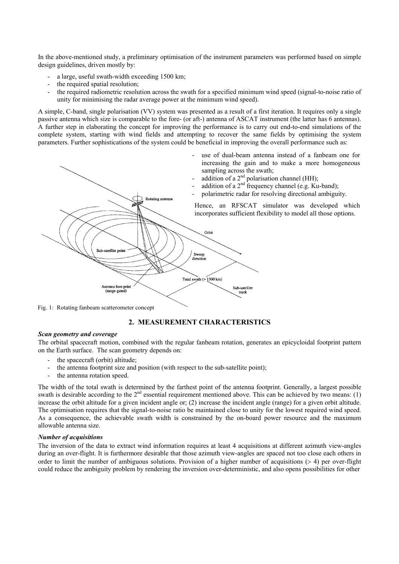In the above-mentioned study, a preliminary optimisation of the instrument parameters was performed based on simple design guidelines, driven mostly by:

- a large, useful swath-width exceeding 1500 km;
- the required spatial resolution;
- the required radiometric resolution across the swath for a specified minimum wind speed (signal-to-noise ratio of unity for minimising the radar average power at the minimum wind speed).

A simple, C-band, single polarisation (VV) system was presented as a result of a first iteration. It requires only a single passive antenna which size is comparable to the fore- (or aft-) antenna of ASCAT instrument (the latter has 6 antennas). A further step in elaborating the concept for improving the performance is to carry out end-to-end simulations of the complete system, starting with wind fields and attempting to recover the same fields by optimising the system parameters. Further sophistications of the system could be beneficial in improving the overall performance such as:



Fig. 1: Rotating fanbeam scatterometer concept

# **2. MEASUREMENT CHARACTERISTICS**

## *Scan geometry and coverage*

The orbital spacecraft motion, combined with the regular fanbeam rotation, generates an epicycloidal footprint pattern on the Earth surface. The scan geometry depends on:

- the spacecraft (orbit) altitude;
- the antenna footprint size and position (with respect to the sub-satellite point);
- the antenna rotation speed.

The width of the total swath is determined by the farthest point of the antenna footprint. Generally, a largest possible swath is desirable according to the  $2<sup>nd</sup>$  essential requirement mentioned above. This can be achieved by two means: (1) increase the orbit altitude for a given incident angle or; (2) increase the incident angle (range) for a given orbit altitude. The optimisation requires that the signal-to-noise ratio be maintained close to unity for the lowest required wind speed. As a consequence, the achievable swath width is constrained by the on-board power resource and the maximum allowable antenna size.

## *Number of acquisitions*

The inversion of the data to extract wind information requires at least 4 acquisitions at different azimuth view-angles during an over-flight. It is furthermore desirable that those azimuth view-angles are spaced not too close each others in order to limit the number of ambiguous solutions. Provision of a higher number of acquisitions (> 4) per over-flight could reduce the ambiguity problem by rendering the inversion over-deterministic, and also opens possibilities for other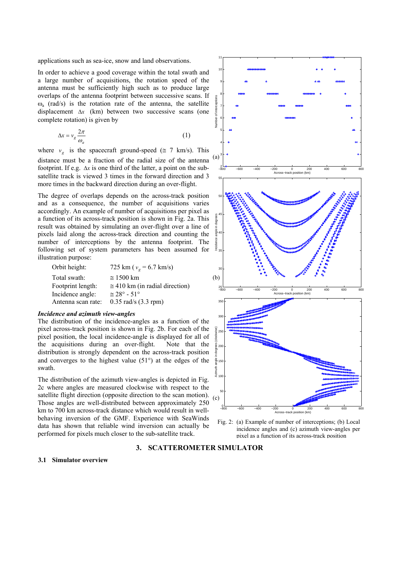applications such as sea-ice, snow and land observations.

In order to achieve a good coverage within the total swath and a large number of acquisitions, the rotation speed of the antenna must be sufficiently high such as to produce large overlaps of the antenna footprint between successive scans. If  $\omega$ <sub>a</sub> (rad/s) is the rotation rate of the antenna, the satellite displacement  $\Delta x$  (km) between two successive scans (one complete rotation) is given by

$$
\Delta x = v_g \frac{2\pi}{\omega_a} \tag{1}
$$

where  $v_g$  is the spacecraft ground-speed ( $\approx$  7 km/s). This distance must be a fraction of the radial size of the antenn a footprint. If e.g.  $\Delta x$  is one third of the latter, a point on the subsatellite track is viewed 3 times in the forward direction and 3

more times in the backward direction during an over-flight.

The degree of overlaps depends on the across-track position and as a consequence, the number of acquisitions varies accordingly. An example of number of acquisitions per pixel as a function of its across-track position is shown in Fig. 2a. This result was obtained by simulating an over-flight over a line of pixels laid along the across-track direction and counting the number of interceptions by the antenna footprint. The following set of system parameters has been assumed for illustration purpose:

| Orbit height:      | 725 km ( $v_g$ = 6.7 km/s)             |
|--------------------|----------------------------------------|
| Total swath:       | $\approx$ 1500 km                      |
| Footprint length:  | $\approx$ 410 km (in radial direction) |
| Incidence angle:   | $\simeq 28^{\circ} - 51^{\circ}$       |
| Antenna scan rate: | $0.35$ rad/s $(3.3$ rpm)               |

#### *Incidence and azimuth view-angles*

The distribution of the incidence-angles as a function of the pixel across-track position is shown in Fig. 2b. For each of the pixel position, the local incidence-angle is displayed for all of the acquisitions during an over-flight. Note that the distribution is strongly dependent on the across-track position and converges to the highest value (51°) at the edges of the swath.

The distribution of the azimuth view-angles is depicted in Fig. 2c where angles are measured clockwise with respect to the satellite flight direction (opposite direction to the scan motion). Those angles are well-distributed between approximately 250 km to 700 km across-track distance which would result in wellbehaving inversion of the GMF. Experience with SeaWinds data has shown that reliable wind inversion can actually be performed for pixels much closer to the sub-satellite track.





### **3. SCATTEROMETER SIMULATOR**

#### **3.1 Simulator overview**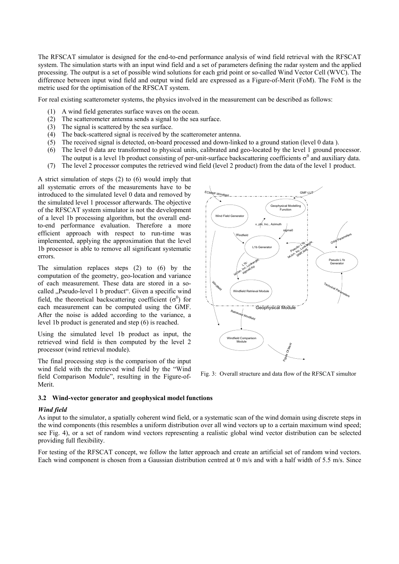The RFSCAT simulator is designed for the end-to-end performance analysis of wind field retrieval with the RFSCAT system. The simulation starts with an input wind field and a set of parameters defining the radar system and the applied processing. The output is a set of possible wind solutions for each grid point or so-called Wind Vector Cell (WVC). The difference between input wind field and output wind field are expressed as a Figure-of-Merit (FoM). The FoM is the metric used for the optimisation of the RFSCAT system.

For real existing scatterometer systems, the physics involved in the measurement can be described as follows:

- (1) A wind field generates surface waves on the ocean.
- (2) The scatterometer antenna sends a signal to the sea surface.
- (3) The signal is scattered by the sea surface.
- (4) The back-scattered signal is received by the scatterometer antenna.
- (5) The received signal is detected, on-board processed and down-linked to a ground station (level 0 data ).
- (6) The level 0 data are transformed to physical units, calibrated and geo-located by the level 1 ground processor. The output is a level 1b product consisting of per-unit-surface backscattering coefficients  $\sigma^0$  and auxiliary data.
- (7) The level 2 processor computes the retrieved wind field (level 2 product) from the data of the level 1 product.

A strict simulation of steps (2) to (6) would imply that all systematic errors of the measurements have to be introduced to the simulated level 0 data and removed by the simulated level 1 processor afterwards. The objective of the RFSCAT system simulator is not the development of a level 1b processing algorithm, but the overall endto-end performance evaluation. Therefore a more efficient approach with respect to run-time was implemented, applying the approximation that the level 1b processor is able to remove all significant systematic errors.

The simulation replaces steps (2) to (6) by the computation of the geometry, geo-location and variance of each measurement. These data are stored in a socalled "Pseudo-level 1 b product". Given a specific wind field, the theoretical backscattering coefficient  $(\sigma^0)$  for each measurement can be computed using the GMF. After the noise is added according to the variance, a level 1b product is generated and step (6) is reached.

Using the simulated level 1b product as input, the retrieved wind field is then computed by the level 2 processor (wind retrieval module).

The final processing step is the comparison of the input wind field with the retrieved wind field by the "Wind field Comparison Module", resulting in the Figure-of-Merit.



Fig. 3: Overall structure and data flow of the RFSCAT simultor

#### **3.2 Wind-vector generator and geophysical model functions**

#### *Wind field*

As input to the simulator, a spatially coherent wind field, or a systematic scan of the wind domain using discrete steps in the wind components (this resembles a uniform distribution over all wind vectors up to a certain maximum wind speed; see Fig. 4), or a set of random wind vectors representing a realistic global wind vector distribution can be selected providing full flexibility.

For testing of the RFSCAT concept, we follow the latter approach and create an artificial set of random wind vectors. Each wind component is chosen from a Gaussian distribution centred at 0 m/s and with a half width of 5.5 m/s. Since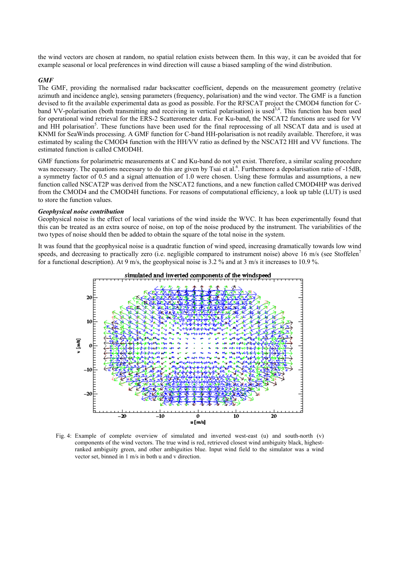the wind vectors are chosen at random, no spatial relation exists between them. In this way, it can be avoided that for example seasonal or local preferences in wind direction will cause a biased sampling of the wind distribution.

#### *GMF*

The GMF, providing the normalised radar backscatter coefficient, depends on the measurement geometry (relative azimuth and incidence angle), sensing parameters (frequency, polarisation) and the wind vector. The GMF is a function devised to fit the available experimental data as good as possible. For the RFSCAT project the CMOD4 function for Cband VV-polarisation (both transmitting and receiving in vertical polarisation) is used<sup>3,4</sup>. This function has been used for operational wind retrieval for the ERS-2 Scatterometer data. For Ku-band, the NSCAT2 functions are used for VV and HH polarisation<sup>5</sup>. These functions have been used for the final reprocessing of all NSCAT data and is used at KNMI for SeaWinds processing. A GMF function for C-band HH-polarisation is not readily available. Therefore, it was estimated by scaling the CMOD4 function with the HH/VV ratio as defined by the NSCAT2 HH and VV functions. The estimated function is called CMOD4H.

GMF functions for polarimetric measurements at C and Ku-band do not yet exist. Therefore, a similar scaling procedure was necessary. The equations necessary to do this are given by Tsai et al.<sup>6</sup>. Furthermore a depolarisation ratio of -15dB, a symmetry factor of 0.5 and a signal attenuation of 1.0 were chosen. Using these formulas and assumptions, a new function called NSCAT2P was derived from the NSCAT2 functions, and a new function called CMOD4HP was derived from the CMOD4 and the CMOD4H functions. For reasons of computational efficiency, a look up table (LUT) is used to store the function values.

#### *Geophysical noise contribution*

Geophysical noise is the effect of local variations of the wind inside the WVC. It has been experimentally found that this can be treated as an extra source of noise, on top of the noise produced by the instrument. The variabilities of the two types of noise should then be added to obtain the square of the total noise in the system.

It was found that the geophysical noise is a quadratic function of wind speed, increasing dramatically towards low wind speeds, and decreasing to practically zero (i.e. negligible compared to instrument noise) above 16 m/s (see Stoffelen<sup>7</sup> for a functional description). At 9 m/s, the geophysical noise is 3.2 % and at 3 m/s it increases to 10.9 %.



Fig. 4: Example of complete overview of simulated and inverted west-east (u) and south-north (v) components of the wind vectors. The true wind is red, retrieved closest wind ambiguity black, highestranked ambiguity green, and other ambiguities blue. Input wind field to the simulator was a wind vector set, binned in 1 m/s in both u and v direction.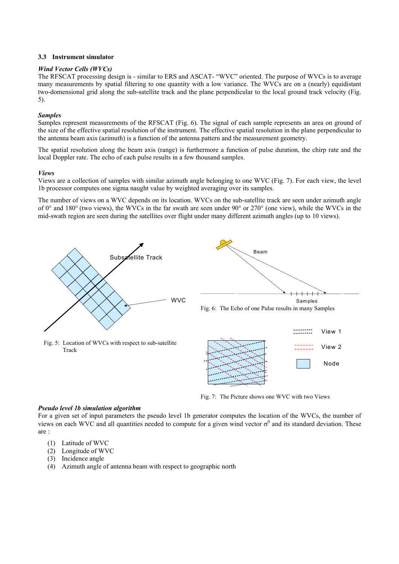## **3.3 Instrument simulator**

## *Wind Vector Cells (WVCs)*

The RFSCAT processing design is - similar to ERS and ASCAT- "WVC" oriented. The purpose of WVCs is to average many measurements by spatial filtering to one quantity with a low variance. The WVCs are on a (nearly) equidistant two-domensional grid along the sub-satellite track and the plane perpendicular to the local ground track velocity (Fig. 5).

# *Samples*

Samples represent measurements of the RFSCAT (Fig. 6). The signal of each sample represents an area on ground of the size of the effective spatial resolution of the instrument. The effective spatial resolution in the plane perpendicular to the antenna beam axis (azimuth) is a function of the antenna pattern and the measurement geometry.

The spatial resolution along the beam axis (range) is furthermore a function of pulse duration, the chirp rate and the local Doppler rate. The echo of each pulse results in a few thousand samples.

## *Views*

Views are a collection of samples with similar azimuth angle belonging to one WVC (Fig. 7). For each view, the level 1b processor computes one sigma naught value by weighted averaging over its samples.

The number of views on a WVC depends on its location. WVCs on the sub-satellite track are seen under azimuth angle of 0° and 180° (two views), the WVCs in the far swath are seen under 90° or 270° (one view), while the WVCs in the mid-swath region are seen during the satellites over flight under many different azimuth angles (up to 10 views).



Fig. 5: Location of WVCs with respect to sub-satellite



Fig. 7: The Picture shows one WVC with two Views

# *Pseudo level 1b simulation algorithm*

For a given set of input parameters the pseudo level 1b generator computes the location of the WVCs, the number of views on each WVC and all quantities needed to compute for a given wind vector  $\sigma^0$  and its standard deviation. These are :

- (1) Latitude of WVC
- (2) Longitude of WVC
- (3) Incidence angle

Track

(4) Azimuth angle of antenna beam with respect to geographic north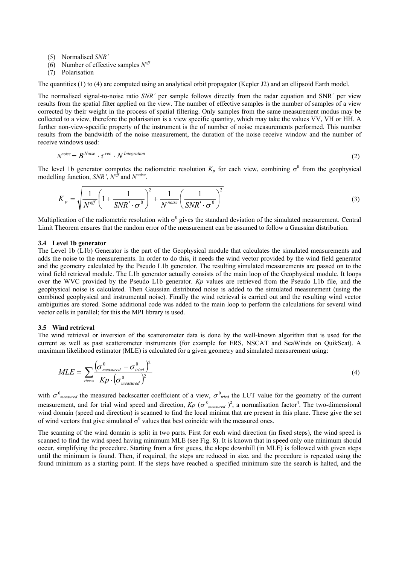(5) Normalised *SNR´*

- (6) Number of effective samples *Neff*
- (7) Polarisation

The quantities (1) to (4) are computed using an analytical orbit propagator (Kepler J2) and an ellipsoid Earth model.

The normalised signal-to-noise ratio *SNR´* per sample follows directly from the radar equation and SNR´ per view results from the spatial filter applied on the view. The number of effective samples is the number of samples of a view corrected by their weight in the process of spatial filtering. Only samples from the same measurement modus may be collected to a view, therefore the polarisation is a view specific quantity, which may take the values VV, VH or HH. A further non-view-specific property of the instrument is the of number of noise measurements performed. This number results from the bandwidth of the noise measurement, the duration of the noise receive window and the number of receive windows used:

$$
N^{noise} = B^{Noise} \cdot \tau^{rec} \cdot N^{Integration} \tag{2}
$$

The level 1b generator computes the radiometric resolution  $K_p$  for each view, combining  $\sigma^0$  from the geophysical modelling function, *SNR'*, *Neff* and *Nnoise*.

$$
K_p = \sqrt{\frac{1}{N^{eff}}} \left( 1 + \frac{1}{SNR' \cdot \sigma^0} \right)^2 + \frac{1}{N^{noise}} \left( \frac{1}{SNR' \cdot \sigma^0} \right)^2
$$
 (3)

Multiplication of the radiometric resolution with  $\sigma^0$  gives the standard deviation of the simulated measurement. Central Limit Theorem ensures that the random error of the measurement can be assumed to follow a Gaussian distribution.

#### **3.4 Level 1b generator**

The Level 1b (L1b) Generator is the part of the Geophysical module that calculates the simulated measurements and adds the noise to the measurements. In order to do this, it needs the wind vector provided by the wind field generator and the geometry calculated by the Pseudo L1b generator. The resulting simulated measurements are passed on to the wind field retrieval module. The L1b generator actually consists of the main loop of the Geophysical module. It loops over the WVC provided by the Pseudo L1b generator. *Kp* values are retrieved from the Pseudo L1b file, and the geophysical noise is calculated. Then Gaussian distributed noise is added to the simulated measurement (using the combined geophysical and instrumental noise). Finally the wind retrieval is carried out and the resulting wind vector ambiguities are stored. Some additional code was added to the main loop to perform the calculations for several wind vector cells in parallel; for this the MPI library is used.

#### **3.5 Wind retrieval**

The wind retrieval or inversion of the scatterometer data is done by the well-known algorithm that is used for the current as well as past scatterometer instruments (for example for ERS, NSCAT and SeaWinds on QuikScat). A maximum likelihood estimator (MLE) is calculated for a given geometry and simulated measurement using:

$$
MLE = \sum_{\text{views}} \frac{(\sigma_{measured}^0 - \sigma_{\text{tried}}^0)^2}{Kp \cdot (\sigma_{measured}^0)^2}
$$
(4)

with  $\sigma_{measured}^0$  the measured backscatter coefficient of a view,  $\sigma_{\text{tried}}^0$  the LUT value for the geometry of the current measurement, and for trial wind speed and direction,  $Kp$  ( $\sigma^0$ <sub>measured</sub>)<sup>2</sup>, a normalisation factor<sup>4</sup>. The two-dimensional wind domain (speed and direction) is scanned to find the local minima that are present in this plane. These give the set of wind vectors that give simulated  $\sigma^0$  values that best coincide with the measured ones.

The scanning of the wind domain is split in two parts. First for each wind direction (in fixed steps), the wind speed is scanned to find the wind speed having minimum MLE (see Fig. 8). It is known that in speed only one minimum should occur, simplifying the procedure. Starting from a first guess, the slope downhill (in MLE) is followed with given steps until the minimum is found. Then, if required, the steps are reduced in size, and the procedure is repeated using the found minimum as a starting point. If the steps have reached a specified minimum size the search is halted, and the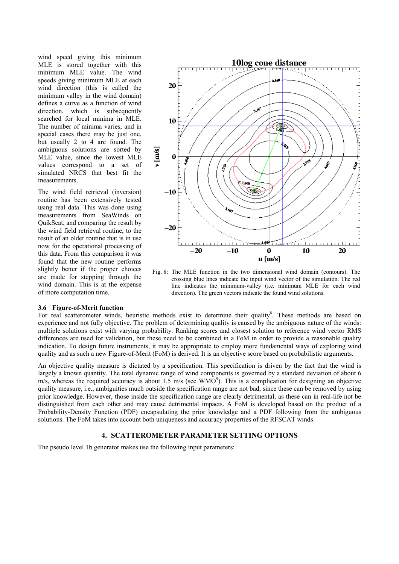wind speed giving this minimum MLE is stored together with this minimum MLE value. The wind speeds giving minimum MLE at each wind direction (this is called the minimum valley in the wind domain) defines a curve as a function of wind direction, which is subsequently searched for local minima in MLE. The number of minima varies, and in special cases there may be just one, but usually 2 to 4 are found. The ambiguous solutions are sorted by MLE value, since the lowest MLE values correspond to a set of simulated NRCS that best fit the measurements.

The wind field retrieval (inversion) routine has been extensively tested using real data. This was done using measurements from SeaWinds on QuikScat, and comparing the result by the wind field retrieval routine, to the result of an older routine that is in use now for the operational processing of this data. From this comparison it was found that the new routine performs slightly better if the proper choices are made for stepping through the wind domain. This is at the expense of more computation time.



Fig. 8: The MLE function in the two dimensional wind domain (contours). The crossing blue lines indicate the input wind vector of the simulation. The red line indicates the minimum-valley (i.e. minimum MLE for each wind direction). The green vectors indicate the found wind solutions.

### **3.6 Figure-of-Merit function**

For real scatterometer winds, heuristic methods exist to determine their quality<sup>8</sup>. These methods are based on experience and not fully objective. The problem of determining quality is caused by the ambiguous nature of the winds: multiple solutions exist with varying probability. Ranking scores and closest solution to reference wind vector RMS differences are used for validation, but these need to be combined in a FoM in order to provide a reasonable quality indication. To design future instruments, it may be appropriate to employ more fundamental ways of exploring wind quality and as such a new Figure-of-Merit (FoM) is derived. It is an objective score based on probabilistic arguments.

An objective quality measure is dictated by a specification. This specification is driven by the fact that the wind is largely a known quantity. The total dynamic range of wind components is governed by a standard deviation of about 6  $m/s$ , whereas the required accuracy is about 1.5 m/s (see WMO<sup>9</sup>). This is a complication for designing an objective quality measure, i.e., ambiguities much outside the specification range are not bad, since these can be removed by using prior knowledge. However, those inside the specification range are clearly detrimental, as these can in real-life not be distinguished from each other and may cause detrimental impacts. A FoM is developed based on the product of a Probability-Density Function (PDF) encapsulating the prior knowledge and a PDF following from the ambiguous solutions. The FoM takes into account both uniqueness and accuracy properties of the RFSCAT winds.

# **4. SCATTEROMETER PARAMETER SETTING OPTIONS**

The pseudo level 1b generator makes use the following input parameters: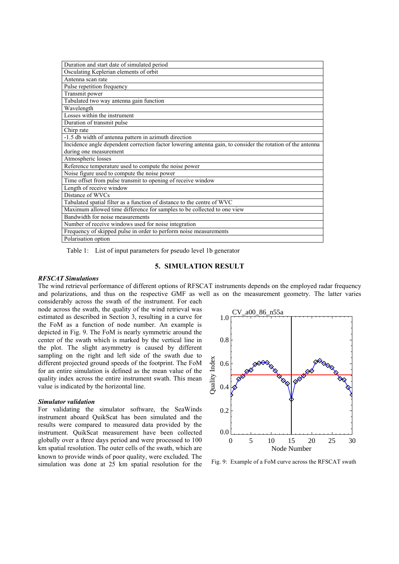| Duration and start date of simulated period                                                                |  |
|------------------------------------------------------------------------------------------------------------|--|
| Osculating Keplerian elements of orbit                                                                     |  |
| Antenna scan rate                                                                                          |  |
| Pulse repetition frequency                                                                                 |  |
| Transmit power                                                                                             |  |
| Tabulated two way antenna gain function                                                                    |  |
| Wavelength                                                                                                 |  |
| Losses within the instrument                                                                               |  |
| Duration of transmit pulse                                                                                 |  |
| Chirp rate                                                                                                 |  |
| -1.5 db width of antenna pattern in azimuth direction                                                      |  |
| Incidence angle dependent correction factor lowering antenna gain, to consider the rotation of the antenna |  |
| during one measurement                                                                                     |  |
| Atmospheric losses                                                                                         |  |
| Reference temperature used to compute the noise power                                                      |  |
| Noise figure used to compute the noise power                                                               |  |
| Time offset from pulse transmit to opening of receive window                                               |  |
| Length of receive window                                                                                   |  |
| Distance of WVCs                                                                                           |  |
| Tabulated spatial filter as a function of distance to the centre of WVC                                    |  |
| Maximum allowed time difference for samples to be collected to one view                                    |  |
| Bandwidth for noise measurements                                                                           |  |
| Number of receive windows used for noise integration                                                       |  |
| Frequency of skipped pulse in order to perform noise measurements                                          |  |
| Polarisation option                                                                                        |  |

Table 1: List of input parameters for pseudo level 1b generator

## **5. SIMULATION RESULT**

#### *RFSCAT Simulations*

The wind retrieval performance of different options of RFSCAT instruments depends on the employed radar frequency and polarizations, and thus on the respective GMF as well as on the measurement geometry. The latter varies

considerably across the swath of the instrument. For each node across the swath, the quality of the wind retrieval was estimated as described in Section 3, resulting in a curve for the FoM as a function of node number. An example is depicted in Fig. 9. The FoM is nearly symmetric around the center of the swath which is marked by the vertical line in the plot. The slight asymmetry is caused by different sampling on the right and left side of the swath due to different projected ground speeds of the footprint. The FoM for an entire simulation is defined as the mean value of the quality index across the entire instrument swath. This mean value is indicated by the horizontal line.

#### *Simulator validation*

For validating the simulator software, the SeaWinds instrument aboard QuikScat has been simulated and the results were compared to measured data provided by the instrument. QuikScat measurement have been collected globally over a three days period and were processed to 100 km spatial resolution. The outer cells of the swath, which are known to provide winds of poor quality, were excluded. The simulation was done at 25 km spatial resolution for the Fig. 9: Example of a FoM curve across the RFSCAT swath

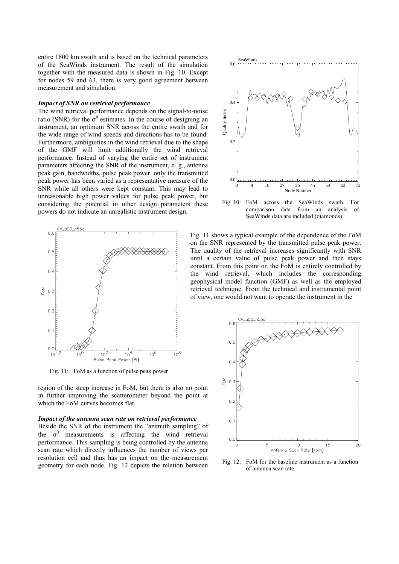entire 1800 km swath and is based on the technical parameters of the SeaWinds instrument. The result of the simulation together with the measured data is shown in Fig. 10. Except for nodes 59 and 63, there is very good agreement between measurement and simulation.

#### *Impact of SNR on retrieval performance*

The wind retrieval performance depends on the signal-to-noise ratio (SNR) for the  $\sigma^0$  estimates. In the course of designing an instrument, an optimum SNR across the entire swath and for the wide range of wind speeds and directions has to be found. Furthermore, ambiguities in the wind retrieval due to the shape of the GMF will limit additionally the wind retrieval performance. Instead of varying the entire set of instrument parameters affecting the SNR of the instrument, e. g., antenna peak gain, bandwidths, pulse peak power, only the transmitted peak power has been varied as a representative measure of the SNR while all others were kept constant. This may lead to unreasonable high power values for pulse peak power, but considering the potential in other design parameters these powers do not indicate an unrealistic instrument design.



Fig. 11: FoM as a function of pulse peak power

region of the steep increase in FoM, but there is also no point in further improving the scatterometer beyond the point at which the FoM curves becomes flat.

#### *Impact of the antenna scan rate on retrieval performance*

Beside the SNR of the instrument the "azimuth sampling" of the  $\sigma^0$  measurements is affecting the wind retrieval performance. This sampling is being controlled by the antenna scan rate which directly influences the number of views per resolution cell and thus has an impact on the measurement geometry for each node. Fig. 12 depicts the relation between



Fig. 10: FoM across the SeaWinds swath. For comparison data from an analysis of SeaWinds data are included (diamonds).

Fig. 11 shows a typical example of the dependence of the FoM on the SNR represented by the transmitted pulse peak power. The quality of the retrieval increases significantly with SNR until a certain value of pulse peak power and then stays constant. From this point on the FoM is entirely controlled by the wind retrieval, which includes the corresponding geophysical model function (GMF) as well as the employed retrieval technique. From the technical and instrumental point of view, one would not want to operate the instrument in the



Fig. 12: FoM for the baseline instrument as a function of antenna scan rate.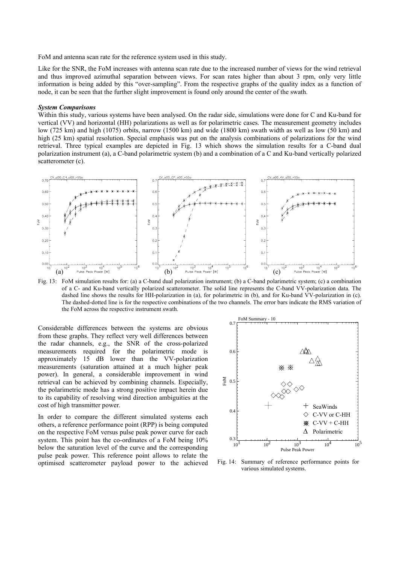FoM and antenna scan rate for the reference system used in this study.

Like for the SNR, the FoM increases with antenna scan rate due to the increased number of views for the wind retrieval and thus improved azimuthal separation between views. For scan rates higher than about 3 rpm, only very little information is being added by this "over-sampling". From the respective graphs of the quality index as a function of node, it can be seen that the further slight improvement is found only around the center of the swath.

#### *System Comparisons*

Within this study, various systems have been analysed. On the radar side, simulations were done for C and Ku-band for vertical (VV) and horizontal (HH) polarizations as well as for polarimetric cases. The measurement geometry includes low (725 km) and high (1075) orbits, narrow (1500 km) and wide (1800 km) swath width as well as low (50 km) and high (25 km) spatial resolution. Special emphasis was put on the analysis combinations of polarizations for the wind retrieval. Three typical examples are depicted in Fig. 13 which shows the simulation results for a C-band dual polarization instrument (a), a C-band polarimetric system (b) and a combination of a C and Ku-band vertically polarized scatterometer (c).



Fig. 13: FoM simulation results for: (a) a C-band dual polarization instrument; (b) a C-band polarimetric system; (c) a combination of a C- and Ku-band vertically polarized scatterometer. The solid line represents the C-band VV-polarization data. The dashed line shows the results for HH-polarization in (a), for polarimetric in (b), and for Ku-band VV-polarization in (c). The dashed-dotted line is for the respective combinations of the two channels. The error bars indicate the RMS variation of the FoM across the respective instrument swath.

Considerable differences between the systems are obvious from these graphs. They reflect very well differences between the radar channels, e.g., the SNR of the cross-polarized measurements required for the polarimetric mode is approximately 15 dB lower than the VV-polarization measurements (saturation attained at a much higher peak power). In general, a considerable improvement in wind retrieval can be achieved by combining channels. Especially, the polarimetric mode has a strong positive impact herein due to its capability of resolving wind direction ambiguities at the cost of high transmitter power.

In order to compare the different simulated systems each others, a reference performance point (RPP) is being computed on the respective FoM versus pulse peak power curve for each system. This point has the co-ordinates of a FoM being 10% below the saturation level of the curve and the corresponding pulse peak power. This reference point allows to relate the optimised scatterometer payload power to the achieved Fig. 14: Summary of reference performance points for



various simulated systems.